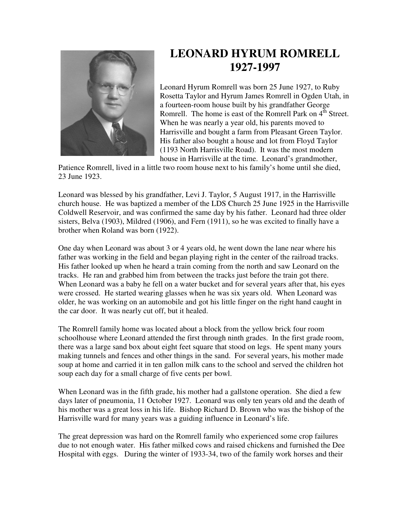

## **LEONARD HYRUM ROMRELL 1927-1997**

Leonard Hyrum Romrell was born 25 June 1927, to Ruby Rosetta Taylor and Hyrum James Romrell in Ogden Utah, in a fourteen-room house built by his grandfather George Romrell. The home is east of the Romrell Park on  $4<sup>th</sup>$  Street. When he was nearly a year old, his parents moved to Harrisville and bought a farm from Pleasant Green Taylor. His father also bought a house and lot from Floyd Taylor (1193 North Harrisville Road). It was the most modern house in Harrisville at the time. Leonard's grandmother,

Patience Romrell, lived in a little two room house next to his family's home until she died, 23 June 1923.

Leonard was blessed by his grandfather, Levi J. Taylor, 5 August 1917, in the Harrisville church house. He was baptized a member of the LDS Church 25 June 1925 in the Harrisville Coldwell Reservoir, and was confirmed the same day by his father. Leonard had three older sisters, Belva (1903), Mildred (1906), and Fern (1911), so he was excited to finally have a brother when Roland was born (1922).

One day when Leonard was about 3 or 4 years old, he went down the lane near where his father was working in the field and began playing right in the center of the railroad tracks. His father looked up when he heard a train coming from the north and saw Leonard on the tracks. He ran and grabbed him from between the tracks just before the train got there. When Leonard was a baby he fell on a water bucket and for several years after that, his eyes were crossed. He started wearing glasses when he was six years old. When Leonard was older, he was working on an automobile and got his little finger on the right hand caught in the car door. It was nearly cut off, but it healed.

The Romrell family home was located about a block from the yellow brick four room schoolhouse where Leonard attended the first through ninth grades. In the first grade room, there was a large sand box about eight feet square that stood on legs. He spent many yours making tunnels and fences and other things in the sand. For several years, his mother made soup at home and carried it in ten gallon milk cans to the school and served the children hot soup each day for a small charge of five cents per bowl.

When Leonard was in the fifth grade, his mother had a gallstone operation. She died a few days later of pneumonia, 11 October 1927. Leonard was only ten years old and the death of his mother was a great loss in his life. Bishop Richard D. Brown who was the bishop of the Harrisville ward for many years was a guiding influence in Leonard's life.

The great depression was hard on the Romrell family who experienced some crop failures due to not enough water. His father milked cows and raised chickens and furnished the Dee Hospital with eggs. During the winter of 1933-34, two of the family work horses and their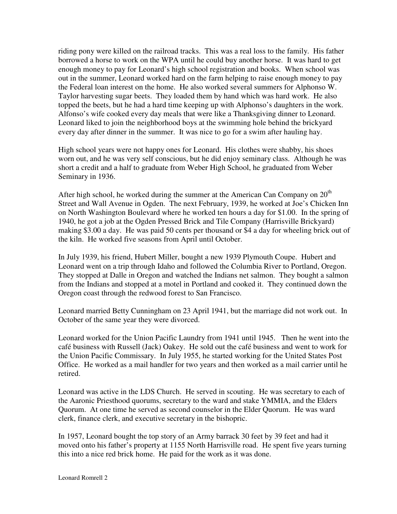riding pony were killed on the railroad tracks. This was a real loss to the family. His father borrowed a horse to work on the WPA until he could buy another horse. It was hard to get enough money to pay for Leonard's high school registration and books. When school was out in the summer, Leonard worked hard on the farm helping to raise enough money to pay the Federal loan interest on the home. He also worked several summers for Alphonso W. Taylor harvesting sugar beets. They loaded them by hand which was hard work. He also topped the beets, but he had a hard time keeping up with Alphonso's daughters in the work. Alfonso's wife cooked every day meals that were like a Thanksgiving dinner to Leonard. Leonard liked to join the neighborhood boys at the swimming hole behind the brickyard every day after dinner in the summer. It was nice to go for a swim after hauling hay.

High school years were not happy ones for Leonard. His clothes were shabby, his shoes worn out, and he was very self conscious, but he did enjoy seminary class. Although he was short a credit and a half to graduate from Weber High School, he graduated from Weber Seminary in 1936.

After high school, he worked during the summer at the American Can Company on  $20<sup>th</sup>$ Street and Wall Avenue in Ogden. The next February, 1939, he worked at Joe's Chicken Inn on North Washington Boulevard where he worked ten hours a day for \$1.00. In the spring of 1940, he got a job at the Ogden Pressed Brick and Tile Company (Harrisville Brickyard) making \$3.00 a day. He was paid 50 cents per thousand or \$4 a day for wheeling brick out of the kiln. He worked five seasons from April until October.

In July 1939, his friend, Hubert Miller, bought a new 1939 Plymouth Coupe. Hubert and Leonard went on a trip through Idaho and followed the Columbia River to Portland, Oregon. They stopped at Dalle in Oregon and watched the Indians net salmon. They bought a salmon from the Indians and stopped at a motel in Portland and cooked it. They continued down the Oregon coast through the redwood forest to San Francisco.

Leonard married Betty Cunningham on 23 April 1941, but the marriage did not work out. In October of the same year they were divorced.

Leonard worked for the Union Pacific Laundry from 1941 until 1945. Then he went into the café business with Russell (Jack) Oakey. He sold out the café business and went to work for the Union Pacific Commissary. In July 1955, he started working for the United States Post Office. He worked as a mail handler for two years and then worked as a mail carrier until he retired.

Leonard was active in the LDS Church. He served in scouting. He was secretary to each of the Aaronic Priesthood quorums, secretary to the ward and stake YMMIA, and the Elders Quorum. At one time he served as second counselor in the Elder Quorum. He was ward clerk, finance clerk, and executive secretary in the bishopric.

In 1957, Leonard bought the top story of an Army barrack 30 feet by 39 feet and had it moved onto his father's property at 1155 North Harrisville road. He spent five years turning this into a nice red brick home. He paid for the work as it was done.